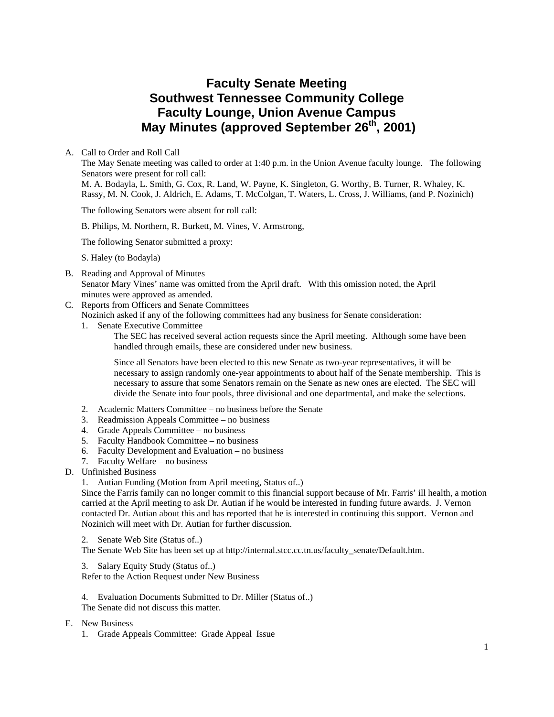# **Faculty Senate Meeting Southwest Tennessee Community College Faculty Lounge, Union Avenue Campus May Minutes (approved September 26th, 2001)**

A. Call to Order and Roll Call

The May Senate meeting was called to order at 1:40 p.m. in the Union Avenue faculty lounge. The following Senators were present for roll call:

M. A. Bodayla, L. Smith, G. Cox, R. Land, W. Payne, K. Singleton, G. Worthy, B. Turner, R. Whaley, K. Rassy, M. N. Cook, J. Aldrich, E. Adams, T. McColgan, T. Waters, L. Cross, J. Williams, (and P. Nozinich)

The following Senators were absent for roll call:

B. Philips, M. Northern, R. Burkett, M. Vines, V. Armstrong,

The following Senator submitted a proxy:

S. Haley (to Bodayla)

B. Reading and Approval of Minutes

Senator Mary Vines' name was omitted from the April draft. With this omission noted, the April minutes were approved as amended.

C. Reports from Officers and Senate Committees

Nozinich asked if any of the following committees had any business for Senate consideration:

1. Senate Executive Committee

The SEC has received several action requests since the April meeting. Although some have been handled through emails, these are considered under new business.

Since all Senators have been elected to this new Senate as two-year representatives, it will be necessary to assign randomly one-year appointments to about half of the Senate membership. This is necessary to assure that some Senators remain on the Senate as new ones are elected. The SEC will divide the Senate into four pools, three divisional and one departmental, and make the selections.

- 2. Academic Matters Committee no business before the Senate
- 3. Readmission Appeals Committee no business
- 4. Grade Appeals Committee no business
- 5. Faculty Handbook Committee no business
- 6. Faculty Development and Evaluation no business
- 7. Faculty Welfare no business
- D. Unfinished Business
	- 1. Autian Funding (Motion from April meeting, Status of..)

Since the Farris family can no longer commit to this financial support because of Mr. Farris' ill health, a motion carried at the April meeting to ask Dr. Autian if he would be interested in funding future awards. J. Vernon contacted Dr. Autian about this and has reported that he is interested in continuing this support. Vernon and Nozinich will meet with Dr. Autian for further discussion.

2. Senate Web Site (Status of..)

The Senate Web Site has been set up at http://internal.stcc.cc.tn.us/faculty\_senate/Default.htm.

3. Salary Equity Study (Status of..) Refer to the Action Request under New Business

4. Evaluation Documents Submitted to Dr. Miller (Status of..) The Senate did not discuss this matter.

#### E. New Business

1. Grade Appeals Committee: Grade Appeal Issue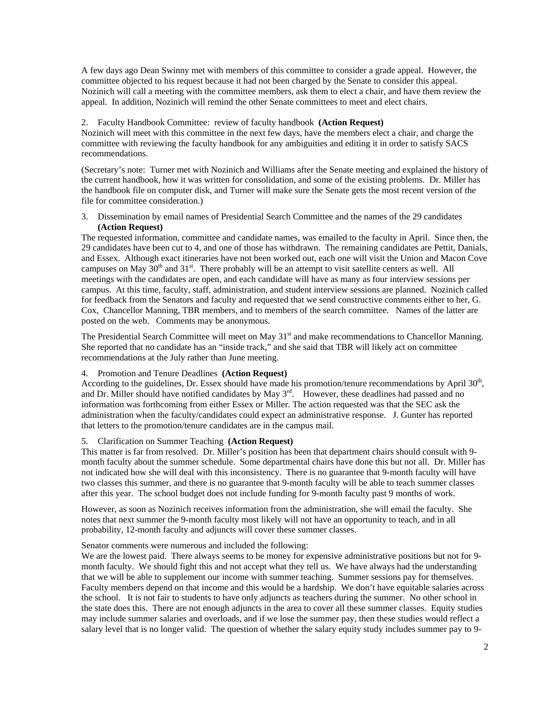A few days ago Dean Swinny met with members of this committee to consider a grade appeal. However, the committee objected to his request because it had not been charged by the Senate to consider this appeal. Nozinich will call a meeting with the committee members, ask them to elect a chair, and have them review the appeal. In addition, Nozinich will remind the other Senate committees to meet and elect chairs.

## 2. Faculty Handbook Committee: review of faculty handbook **(Action Request)**

Nozinich will meet with this committee in the next few days, have the members elect a chair, and charge the committee with reviewing the faculty handbook for any ambiguities and editing it in order to satisfy SACS recommendations.

(Secretary's note: Turner met with Nozinich and Williams after the Senate meeting and explained the history of the current handbook, how it was written for consolidation, and some of the existing problems. Dr. Miller has the handbook file on computer disk, and Turner will make sure the Senate gets the most recent version of the file for committee consideration.)

3. Dissemination by email names of Presidential Search Committee and the names of the 29 candidates **(Action Request)** 

The requested information, committee and candidate names, was emailed to the faculty in April. Since then, the 29 candidates have been cut to 4, and one of those has withdrawn. The remaining candidates are Pettit, Danials, and Essex. Although exact itineraries have not been worked out, each one will visit the Union and Macon Cove campuses on May  $30<sup>th</sup>$  and  $31<sup>st</sup>$ . There probably will be an attempt to visit satellite centers as well. All meetings with the candidates are open, and each candidate will have as many as four interview sessions per campus. At this time, faculty, staff, administration, and student interview sessions are planned. Nozinich called for feedback from the Senators and faculty and requested that we send constructive comments either to her, G. Cox, Chancellor Manning, TBR members, and to members of the search committee. Names of the latter are posted on the web. Comments may be anonymous.

The Presidential Search Committee will meet on May  $31<sup>st</sup>$  and make recommendations to Chancellor Manning. She reported that no candidate has an "inside track," and she said that TBR will likely act on committee recommendations at the July rather than June meeting.

# 4. Promotion and Tenure Deadlines **(Action Request)**

According to the guidelines, Dr. Essex should have made his promotion/tenure recommendations by April 30<sup>th</sup>, and Dr. Miller should have notified candidates by May  $3^{rd}$ . However, these deadlines had passed and no information was forthcoming from either Essex or Miller. The action requested was that the SEC ask the administration when the faculty/candidates could expect an administrative response. J. Gunter has reported that letters to the promotion/tenure candidates are in the campus mail.

## 5. Clarification on Summer Teaching **(Action Request)**

This matter is far from resolved. Dr. Miller's position has been that department chairs should consult with 9 month faculty about the summer schedule. Some departmental chairs have done this but not all. Dr. Miller has not indicated how she will deal with this inconsistency. There is no guarantee that 9-month faculty will have two classes this summer, and there is no guarantee that 9-month faculty will be able to teach summer classes after this year. The school budget does not include funding for 9-month faculty past 9 months of work.

However, as soon as Nozinich receives information from the administration, she will email the faculty. She notes that next summer the 9-month faculty most likely will not have an opportunity to teach, and in all probability, 12-month faculty and adjuncts will cover these summer classes.

#### Senator comments were numerous and included the following:

We are the lowest paid. There always seems to be money for expensive administrative positions but not for 9month faculty. We should fight this and not accept what they tell us. We have always had the understanding that we will be able to supplement our income with summer teaching. Summer sessions pay for themselves. Faculty members depend on that income and this would be a hardship. We don't have equitable salaries across the school. It is not fair to students to have only adjuncts as teachers during the summer. No other school in the state does this. There are not enough adjuncts in the area to cover all these summer classes. Equity studies may include summer salaries and overloads, and if we lose the summer pay, then these studies would reflect a salary level that is no longer valid. The question of whether the salary equity study includes summer pay to 9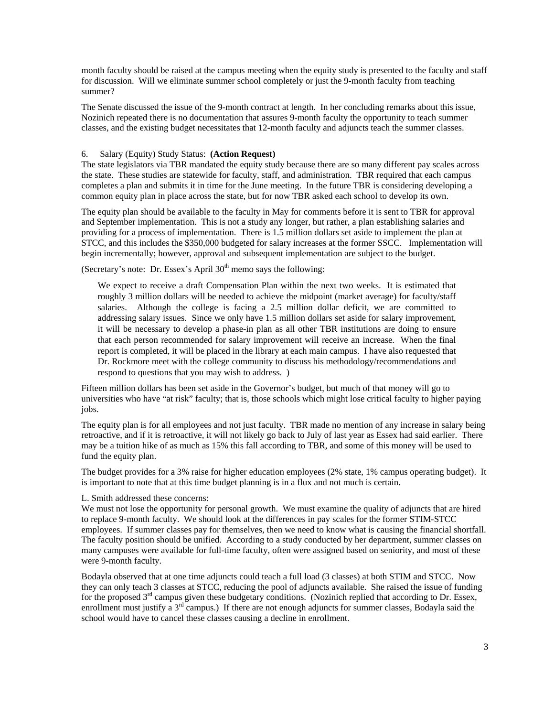month faculty should be raised at the campus meeting when the equity study is presented to the faculty and staff for discussion. Will we eliminate summer school completely or just the 9-month faculty from teaching summer?

The Senate discussed the issue of the 9-month contract at length. In her concluding remarks about this issue, Nozinich repeated there is no documentation that assures 9-month faculty the opportunity to teach summer classes, and the existing budget necessitates that 12-month faculty and adjuncts teach the summer classes.

# 6. Salary (Equity) Study Status: **(Action Request)**

The state legislators via TBR mandated the equity study because there are so many different pay scales across the state. These studies are statewide for faculty, staff, and administration. TBR required that each campus completes a plan and submits it in time for the June meeting. In the future TBR is considering developing a common equity plan in place across the state, but for now TBR asked each school to develop its own.

The equity plan should be available to the faculty in May for comments before it is sent to TBR for approval and September implementation. This is not a study any longer, but rather, a plan establishing salaries and providing for a process of implementation. There is 1.5 million dollars set aside to implement the plan at STCC, and this includes the \$350,000 budgeted for salary increases at the former SSCC. Implementation will begin incrementally; however, approval and subsequent implementation are subject to the budget.

(Secretary's note: Dr. Essex's April  $30<sup>th</sup>$  memo says the following:

We expect to receive a draft Compensation Plan within the next two weeks. It is estimated that roughly 3 million dollars will be needed to achieve the midpoint (market average) for faculty/staff salaries. Although the college is facing a 2.5 million dollar deficit, we are committed to addressing salary issues. Since we only have 1.5 million dollars set aside for salary improvement, it will be necessary to develop a phase-in plan as all other TBR institutions are doing to ensure that each person recommended for salary improvement will receive an increase. When the final report is completed, it will be placed in the library at each main campus. I have also requested that Dr. Rockmore meet with the college community to discuss his methodology/recommendations and respond to questions that you may wish to address. )

Fifteen million dollars has been set aside in the Governor's budget, but much of that money will go to universities who have "at risk" faculty; that is, those schools which might lose critical faculty to higher paying jobs.

The equity plan is for all employees and not just faculty. TBR made no mention of any increase in salary being retroactive, and if it is retroactive, it will not likely go back to July of last year as Essex had said earlier. There may be a tuition hike of as much as 15% this fall according to TBR, and some of this money will be used to fund the equity plan.

The budget provides for a 3% raise for higher education employees (2% state, 1% campus operating budget). It is important to note that at this time budget planning is in a flux and not much is certain.

## L. Smith addressed these concerns:

We must not lose the opportunity for personal growth. We must examine the quality of adjuncts that are hired to replace 9-month faculty. We should look at the differences in pay scales for the former STIM-STCC employees. If summer classes pay for themselves, then we need to know what is causing the financial shortfall. The faculty position should be unified. According to a study conducted by her department, summer classes on many campuses were available for full-time faculty, often were assigned based on seniority, and most of these were 9-month faculty.

Bodayla observed that at one time adjuncts could teach a full load (3 classes) at both STIM and STCC. Now they can only teach 3 classes at STCC, reducing the pool of adjuncts available. She raised the issue of funding for the proposed 3<sup>rd</sup> campus given these budgetary conditions. (Nozinich replied that according to Dr. Essex, enrollment must justify a 3<sup>rd</sup> campus.) If there are not enough adjuncts for summer classes, Bodayla said the school would have to cancel these classes causing a decline in enrollment.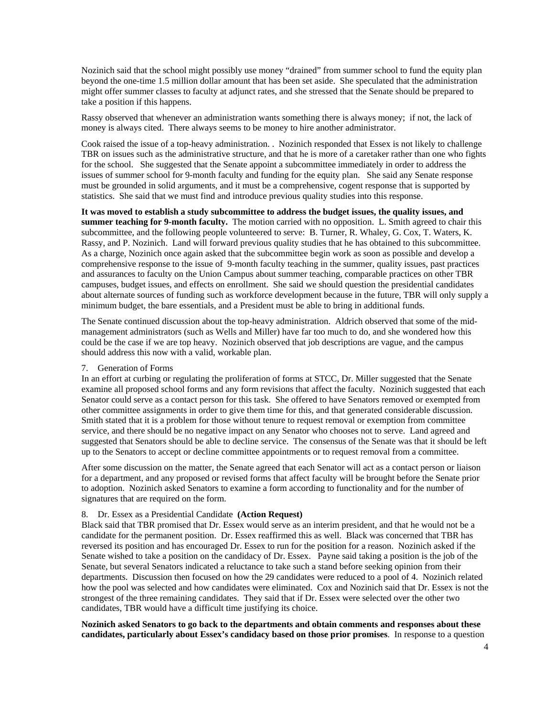Nozinich said that the school might possibly use money "drained" from summer school to fund the equity plan beyond the one-time 1.5 million dollar amount that has been set aside. She speculated that the administration might offer summer classes to faculty at adjunct rates, and she stressed that the Senate should be prepared to take a position if this happens.

Rassy observed that whenever an administration wants something there is always money; if not, the lack of money is always cited. There always seems to be money to hire another administrator.

Cook raised the issue of a top-heavy administration. . Nozinich responded that Essex is not likely to challenge TBR on issues such as the administrative structure, and that he is more of a caretaker rather than one who fights for the school. She suggested that the Senate appoint a subcommittee immediately in order to address the issues of summer school for 9-month faculty and funding for the equity plan. She said any Senate response must be grounded in solid arguments, and it must be a comprehensive, cogent response that is supported by statistics. She said that we must find and introduce previous quality studies into this response.

**It was moved to establish a study subcommittee to address the budget issues, the quality issues, and summer teaching for 9-month faculty.** The motion carried with no opposition. L. Smith agreed to chair this subcommittee, and the following people volunteered to serve: B. Turner, R. Whaley, G. Cox, T. Waters, K. Rassy, and P. Nozinich. Land will forward previous quality studies that he has obtained to this subcommittee. As a charge, Nozinich once again asked that the subcommittee begin work as soon as possible and develop a comprehensive response to the issue of 9-month faculty teaching in the summer, quality issues, past practices and assurances to faculty on the Union Campus about summer teaching, comparable practices on other TBR campuses, budget issues, and effects on enrollment. She said we should question the presidential candidates about alternate sources of funding such as workforce development because in the future, TBR will only supply a minimum budget, the bare essentials, and a President must be able to bring in additional funds.

The Senate continued discussion about the top-heavy administration. Aldrich observed that some of the midmanagement administrators (such as Wells and Miller) have far too much to do, and she wondered how this could be the case if we are top heavy. Nozinich observed that job descriptions are vague, and the campus should address this now with a valid, workable plan.

#### 7. Generation of Forms

In an effort at curbing or regulating the proliferation of forms at STCC, Dr. Miller suggested that the Senate examine all proposed school forms and any form revisions that affect the faculty. Nozinich suggested that each Senator could serve as a contact person for this task. She offered to have Senators removed or exempted from other committee assignments in order to give them time for this, and that generated considerable discussion. Smith stated that it is a problem for those without tenure to request removal or exemption from committee service, and there should be no negative impact on any Senator who chooses not to serve. Land agreed and suggested that Senators should be able to decline service. The consensus of the Senate was that it should be left up to the Senators to accept or decline committee appointments or to request removal from a committee.

After some discussion on the matter, the Senate agreed that each Senator will act as a contact person or liaison for a department, and any proposed or revised forms that affect faculty will be brought before the Senate prior to adoption. Nozinich asked Senators to examine a form according to functionality and for the number of signatures that are required on the form.

#### 8. Dr. Essex as a Presidential Candidate **(Action Request)**

Black said that TBR promised that Dr. Essex would serve as an interim president, and that he would not be a candidate for the permanent position. Dr. Essex reaffirmed this as well. Black was concerned that TBR has reversed its position and has encouraged Dr. Essex to run for the position for a reason. Nozinich asked if the Senate wished to take a position on the candidacy of Dr. Essex. Payne said taking a position is the job of the Senate, but several Senators indicated a reluctance to take such a stand before seeking opinion from their departments. Discussion then focused on how the 29 candidates were reduced to a pool of 4. Nozinich related how the pool was selected and how candidates were eliminated. Cox and Nozinich said that Dr. Essex is not the strongest of the three remaining candidates. They said that if Dr. Essex were selected over the other two candidates, TBR would have a difficult time justifying its choice.

**Nozinich asked Senators to go back to the departments and obtain comments and responses about these candidates, particularly about Essex's candidacy based on those prior promises**. In response to a question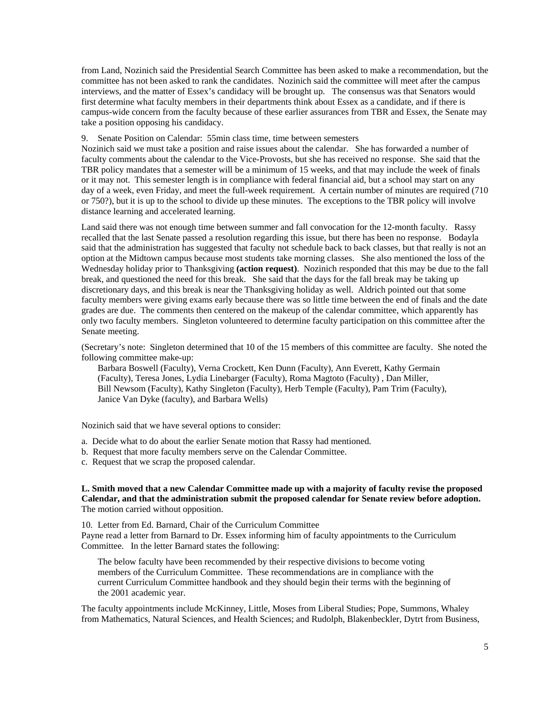from Land, Nozinich said the Presidential Search Committee has been asked to make a recommendation, but the committee has not been asked to rank the candidates. Nozinich said the committee will meet after the campus interviews, and the matter of Essex's candidacy will be brought up. The consensus was that Senators would first determine what faculty members in their departments think about Essex as a candidate, and if there is campus-wide concern from the faculty because of these earlier assurances from TBR and Essex, the Senate may take a position opposing his candidacy.

9. Senate Position on Calendar: 55min class time, time between semesters

Nozinich said we must take a position and raise issues about the calendar. She has forwarded a number of faculty comments about the calendar to the Vice-Provosts, but she has received no response. She said that the TBR policy mandates that a semester will be a minimum of 15 weeks, and that may include the week of finals or it may not. This semester length is in compliance with federal financial aid, but a school may start on any day of a week, even Friday, and meet the full-week requirement. A certain number of minutes are required (710 or 750?), but it is up to the school to divide up these minutes. The exceptions to the TBR policy will involve distance learning and accelerated learning.

Land said there was not enough time between summer and fall convocation for the 12-month faculty. Rassy recalled that the last Senate passed a resolution regarding this issue, but there has been no response. Bodayla said that the administration has suggested that faculty not schedule back to back classes, but that really is not an option at the Midtown campus because most students take morning classes. She also mentioned the loss of the Wednesday holiday prior to Thanksgiving **(action request)**. Nozinich responded that this may be due to the fall break, and questioned the need for this break. She said that the days for the fall break may be taking up discretionary days, and this break is near the Thanksgiving holiday as well. Aldrich pointed out that some faculty members were giving exams early because there was so little time between the end of finals and the date grades are due. The comments then centered on the makeup of the calendar committee, which apparently has only two faculty members. Singleton volunteered to determine faculty participation on this committee after the Senate meeting.

(Secretary's note: Singleton determined that 10 of the 15 members of this committee are faculty. She noted the following committee make-up:

Barbara Boswell (Faculty), Verna Crockett, Ken Dunn (Faculty), Ann Everett, Kathy Germain (Faculty), Teresa Jones, Lydia Linebarger (Faculty), Roma Magtoto (Faculty) , Dan Miller, Bill Newsom (Faculty), Kathy Singleton (Faculty), Herb Temple (Faculty), Pam Trim (Faculty), Janice Van Dyke (faculty), and Barbara Wells)

Nozinich said that we have several options to consider:

- a. Decide what to do about the earlier Senate motion that Rassy had mentioned.
- b. Request that more faculty members serve on the Calendar Committee.
- c. Request that we scrap the proposed calendar.

## **L. Smith moved that a new Calendar Committee made up with a majority of faculty revise the proposed Calendar, and that the administration submit the proposed calendar for Senate review before adoption.** The motion carried without opposition.

10. Letter from Ed. Barnard, Chair of the Curriculum Committee Payne read a letter from Barnard to Dr. Essex informing him of faculty appointments to the Curriculum Committee. In the letter Barnard states the following:

The below faculty have been recommended by their respective divisions to become voting members of the Curriculum Committee. These recommendations are in compliance with the current Curriculum Committee handbook and they should begin their terms with the beginning of the 2001 academic year.

The faculty appointments include McKinney, Little, Moses from Liberal Studies; Pope, Summons, Whaley from Mathematics, Natural Sciences, and Health Sciences; and Rudolph, Blakenbeckler, Dytrt from Business,